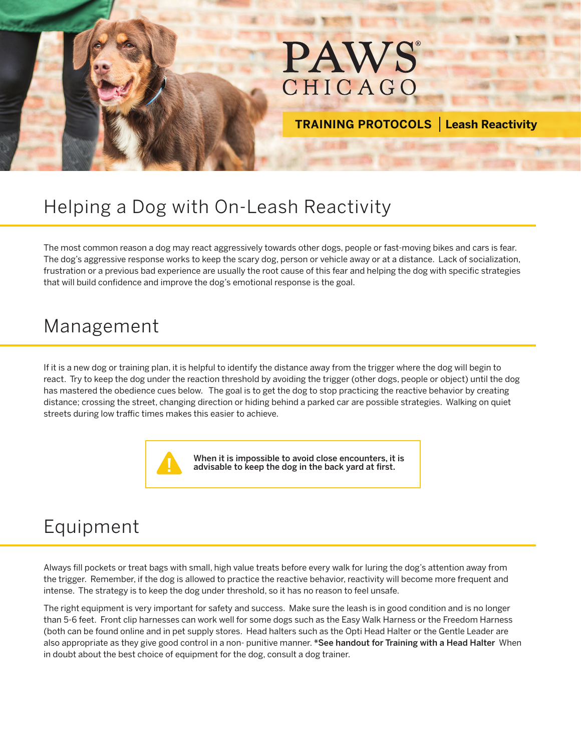

**TRAINING PROTOCOLS Leash Reactivity**

## Helping a Dog with On-Leash Reactivity

The most common reason a dog may react aggressively towards other dogs, people or fast-moving bikes and cars is fear. The dog's aggressive response works to keep the scary dog, person or vehicle away or at a distance. Lack of socialization, frustration or a previous bad experience are usually the root cause of this fear and helping the dog with specific strategies that will build confidence and improve the dog's emotional response is the goal.

## Management

If it is a new dog or training plan, it is helpful to identify the distance away from the trigger where the dog will begin to react. Try to keep the dog under the reaction threshold by avoiding the trigger (other dogs, people or object) until the dog has mastered the obedience cues below. The goal is to get the dog to stop practicing the reactive behavior by creating distance; crossing the street, changing direction or hiding behind a parked car are possible strategies. Walking on quiet streets during low traffic times makes this easier to achieve.



When it is impossible to avoid close encounters, it is advisable to keep the dog in the back yard at first.

## Equipment

Always fill pockets or treat bags with small, high value treats before every walk for luring the dog's attention away from the trigger. Remember, if the dog is allowed to practice the reactive behavior, reactivity will become more frequent and intense. The strategy is to keep the dog under threshold, so it has no reason to feel unsafe.

The right equipment is very important for safety and success. Make sure the leash is in good condition and is no longer than 5-6 feet. Front clip harnesses can work well for some dogs such as the Easy Walk Harness or the Freedom Harness (both can be found online and in pet supply stores. Head halters such as the Opti Head Halter or the Gentle Leader are also appropriate as they give good control in a non- punitive manner. \*See handout for Training with a Head Halter When in doubt about the best choice of equipment for the dog, consult a dog trainer.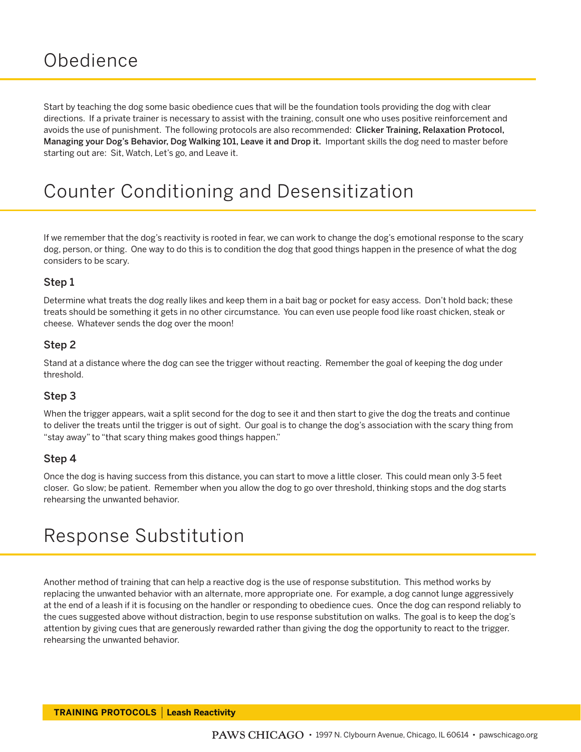# **Obedience**

Start by teaching the dog some basic obedience cues that will be the foundation tools providing the dog with clear directions. If a private trainer is necessary to assist with the training, consult one who uses positive reinforcement and avoids the use of punishment. The following protocols are also recommended: Clicker Training, Relaxation Protocol, Managing your Dog's Behavior, Dog Walking 101, Leave it and Drop it. Important skills the dog need to master before starting out are: Sit, Watch, Let's go, and Leave it.

# Counter Conditioning and Desensitization

If we remember that the dog's reactivity is rooted in fear, we can work to change the dog's emotional response to the scary dog, person, or thing. One way to do this is to condition the dog that good things happen in the presence of what the dog considers to be scary.

#### Step 1

Determine what treats the dog really likes and keep them in a bait bag or pocket for easy access. Don't hold back; these treats should be something it gets in no other circumstance. You can even use people food like roast chicken, steak or cheese. Whatever sends the dog over the moon!

#### Step 2

Stand at a distance where the dog can see the trigger without reacting. Remember the goal of keeping the dog under threshold.

#### Step 3

When the trigger appears, wait a split second for the dog to see it and then start to give the dog the treats and continue to deliver the treats until the trigger is out of sight. Our goal is to change the dog's association with the scary thing from "stay away" to "that scary thing makes good things happen."

#### Step 4

Once the dog is having success from this distance, you can start to move a little closer. This could mean only 3-5 feet closer. Go slow; be patient. Remember when you allow the dog to go over threshold, thinking stops and the dog starts rehearsing the unwanted behavior.

# Response Substitution

Another method of training that can help a reactive dog is the use of response substitution. This method works by replacing the unwanted behavior with an alternate, more appropriate one. For example, a dog cannot lunge aggressively at the end of a leash if it is focusing on the handler or responding to obedience cues. Once the dog can respond reliably to the cues suggested above without distraction, begin to use response substitution on walks. The goal is to keep the dog's attention by giving cues that are generously rewarded rather than giving the dog the opportunity to react to the trigger. rehearsing the unwanted behavior.